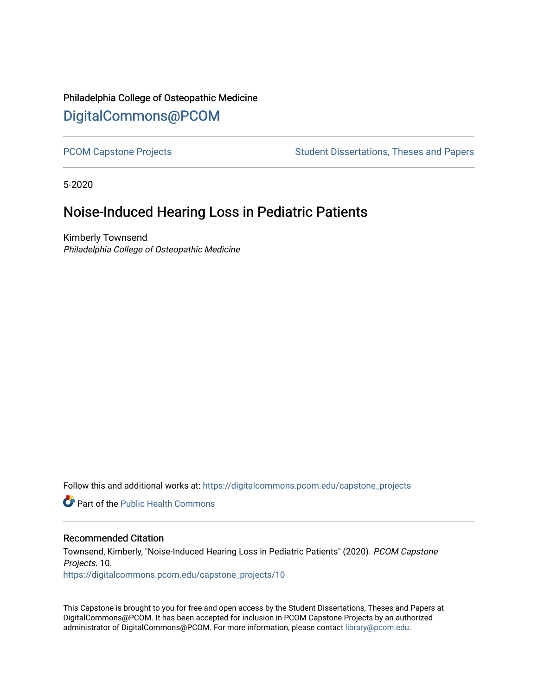# Philadelphia College of Osteopathic Medicine [DigitalCommons@PCOM](https://digitalcommons.pcom.edu/)

[PCOM Capstone Projects](https://digitalcommons.pcom.edu/capstone_projects) **Student Dissertations, Theses and Papers** Student Dissertations, Theses and Papers

5-2020

# Noise-Induced Hearing Loss in Pediatric Patients

Kimberly Townsend Philadelphia College of Osteopathic Medicine

Follow this and additional works at: [https://digitalcommons.pcom.edu/capstone\\_projects](https://digitalcommons.pcom.edu/capstone_projects?utm_source=digitalcommons.pcom.edu%2Fcapstone_projects%2F10&utm_medium=PDF&utm_campaign=PDFCoverPages)

**C** Part of the Public Health Commons

#### Recommended Citation

Townsend, Kimberly, "Noise-Induced Hearing Loss in Pediatric Patients" (2020). PCOM Capstone Projects. 10. [https://digitalcommons.pcom.edu/capstone\\_projects/10](https://digitalcommons.pcom.edu/capstone_projects/10?utm_source=digitalcommons.pcom.edu%2Fcapstone_projects%2F10&utm_medium=PDF&utm_campaign=PDFCoverPages) 

This Capstone is brought to you for free and open access by the Student Dissertations, Theses and Papers at DigitalCommons@PCOM. It has been accepted for inclusion in PCOM Capstone Projects by an authorized administrator of DigitalCommons@PCOM. For more information, please contact [library@pcom.edu.](mailto:library@pcom.edu)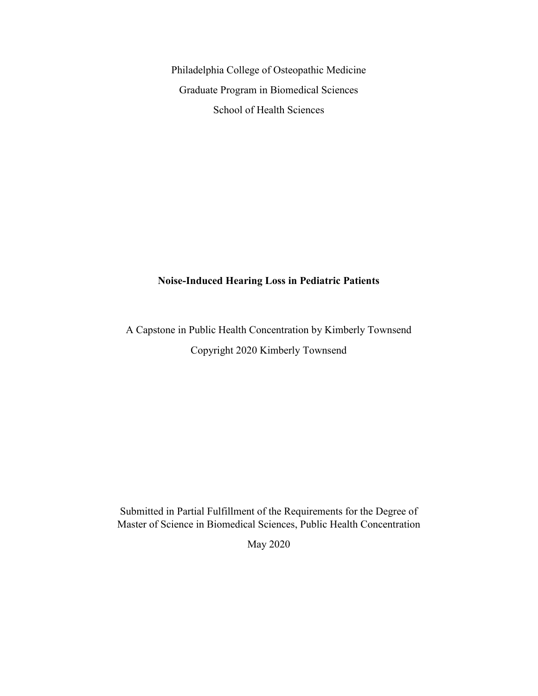Philadelphia College of Osteopathic Medicine Graduate Program in Biomedical Sciences School of Health Sciences

# **Noise-Induced Hearing Loss in Pediatric Patients**

A Capstone in Public Health Concentration by Kimberly Townsend Copyright 2020 Kimberly Townsend

Submitted in Partial Fulfillment of the Requirements for the Degree of Master of Science in Biomedical Sciences, Public Health Concentration

May 2020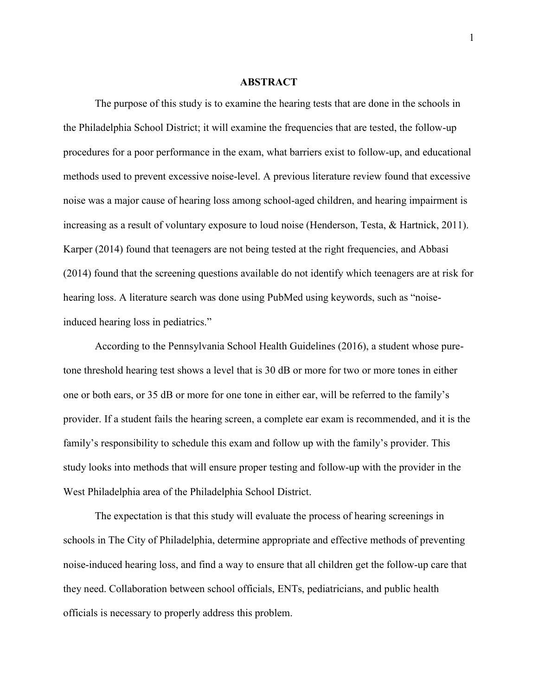#### **ABSTRACT**

The purpose of this study is to examine the hearing tests that are done in the schools in the Philadelphia School District; it will examine the frequencies that are tested, the follow-up procedures for a poor performance in the exam, what barriers exist to follow-up, and educational methods used to prevent excessive noise-level. A previous literature review found that excessive noise was a major cause of hearing loss among school-aged children, and hearing impairment is increasing as a result of voluntary exposure to loud noise (Henderson, Testa, & Hartnick, 2011). Karper (2014) found that teenagers are not being tested at the right frequencies, and Abbasi (2014) found that the screening questions available do not identify which teenagers are at risk for hearing loss. A literature search was done using PubMed using keywords, such as "noiseinduced hearing loss in pediatrics."

According to the Pennsylvania School Health Guidelines (2016), a student whose puretone threshold hearing test shows a level that is 30 dB or more for two or more tones in either one or both ears, or 35 dB or more for one tone in either ear, will be referred to the family's provider. If a student fails the hearing screen, a complete ear exam is recommended, and it is the family's responsibility to schedule this exam and follow up with the family's provider. This study looks into methods that will ensure proper testing and follow-up with the provider in the West Philadelphia area of the Philadelphia School District.

The expectation is that this study will evaluate the process of hearing screenings in schools in The City of Philadelphia, determine appropriate and effective methods of preventing noise-induced hearing loss, and find a way to ensure that all children get the follow-up care that they need. Collaboration between school officials, ENTs, pediatricians, and public health officials is necessary to properly address this problem.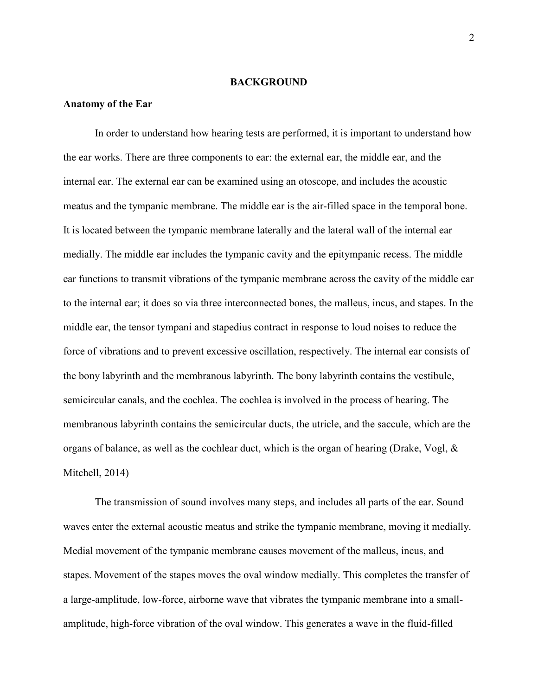# **BACKGROUND**

# **Anatomy of the Ear**

In order to understand how hearing tests are performed, it is important to understand how the ear works. There are three components to ear: the external ear, the middle ear, and the internal ear. The external ear can be examined using an otoscope, and includes the acoustic meatus and the tympanic membrane. The middle ear is the air-filled space in the temporal bone. It is located between the tympanic membrane laterally and the lateral wall of the internal ear medially. The middle ear includes the tympanic cavity and the epitympanic recess. The middle ear functions to transmit vibrations of the tympanic membrane across the cavity of the middle ear to the internal ear; it does so via three interconnected bones, the malleus, incus, and stapes. In the middle ear, the tensor tympani and stapedius contract in response to loud noises to reduce the force of vibrations and to prevent excessive oscillation, respectively. The internal ear consists of the bony labyrinth and the membranous labyrinth. The bony labyrinth contains the vestibule, semicircular canals, and the cochlea. The cochlea is involved in the process of hearing. The membranous labyrinth contains the semicircular ducts, the utricle, and the saccule, which are the organs of balance, as well as the cochlear duct, which is the organ of hearing (Drake, Vogl, & Mitchell, 2014)

The transmission of sound involves many steps, and includes all parts of the ear. Sound waves enter the external acoustic meatus and strike the tympanic membrane, moving it medially. Medial movement of the tympanic membrane causes movement of the malleus, incus, and stapes. Movement of the stapes moves the oval window medially. This completes the transfer of a large-amplitude, low-force, airborne wave that vibrates the tympanic membrane into a smallamplitude, high-force vibration of the oval window. This generates a wave in the fluid-filled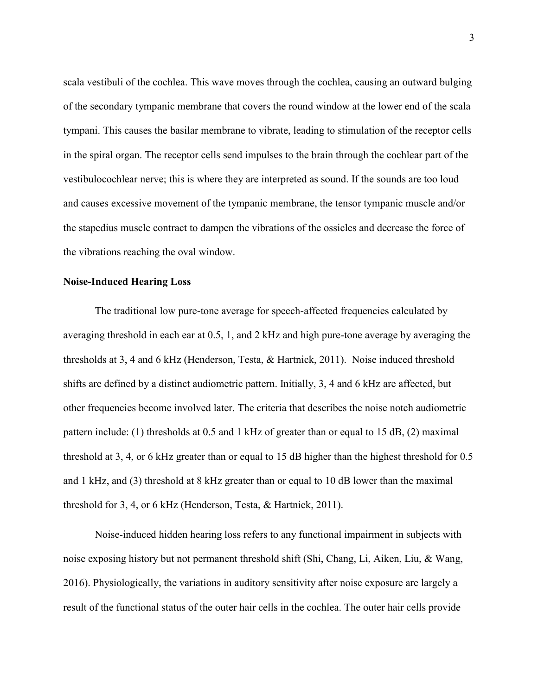scala vestibuli of the cochlea. This wave moves through the cochlea, causing an outward bulging of the secondary tympanic membrane that covers the round window at the lower end of the scala tympani. This causes the basilar membrane to vibrate, leading to stimulation of the receptor cells in the spiral organ. The receptor cells send impulses to the brain through the cochlear part of the vestibulocochlear nerve; this is where they are interpreted as sound. If the sounds are too loud and causes excessive movement of the tympanic membrane, the tensor tympanic muscle and/or the stapedius muscle contract to dampen the vibrations of the ossicles and decrease the force of the vibrations reaching the oval window.

#### **Noise-Induced Hearing Loss**

The traditional low pure-tone average for speech-affected frequencies calculated by averaging threshold in each ear at 0.5, 1, and 2 kHz and high pure-tone average by averaging the thresholds at 3, 4 and 6 kHz (Henderson, Testa, & Hartnick, 2011). Noise induced threshold shifts are defined by a distinct audiometric pattern. Initially, 3, 4 and 6 kHz are affected, but other frequencies become involved later. The criteria that describes the noise notch audiometric pattern include: (1) thresholds at 0.5 and 1 kHz of greater than or equal to 15 dB, (2) maximal threshold at 3, 4, or 6 kHz greater than or equal to 15 dB higher than the highest threshold for 0.5 and 1 kHz, and (3) threshold at 8 kHz greater than or equal to 10 dB lower than the maximal threshold for 3, 4, or 6 kHz (Henderson, Testa, & Hartnick, 2011).

Noise-induced hidden hearing loss refers to any functional impairment in subjects with noise exposing history but not permanent threshold shift (Shi, Chang, Li, Aiken, Liu, & Wang, 2016). Physiologically, the variations in auditory sensitivity after noise exposure are largely a result of the functional status of the outer hair cells in the cochlea. The outer hair cells provide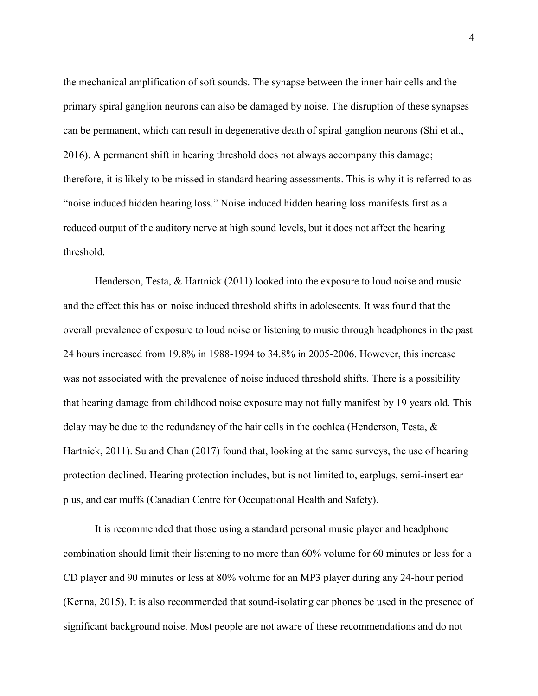the mechanical amplification of soft sounds. The synapse between the inner hair cells and the primary spiral ganglion neurons can also be damaged by noise. The disruption of these synapses can be permanent, which can result in degenerative death of spiral ganglion neurons (Shi et al., 2016). A permanent shift in hearing threshold does not always accompany this damage; therefore, it is likely to be missed in standard hearing assessments. This is why it is referred to as "noise induced hidden hearing loss." Noise induced hidden hearing loss manifests first as a reduced output of the auditory nerve at high sound levels, but it does not affect the hearing threshold.

Henderson, Testa, & Hartnick (2011) looked into the exposure to loud noise and music and the effect this has on noise induced threshold shifts in adolescents. It was found that the overall prevalence of exposure to loud noise or listening to music through headphones in the past 24 hours increased from 19.8% in 1988-1994 to 34.8% in 2005-2006. However, this increase was not associated with the prevalence of noise induced threshold shifts. There is a possibility that hearing damage from childhood noise exposure may not fully manifest by 19 years old. This delay may be due to the redundancy of the hair cells in the cochlea (Henderson, Testa, & Hartnick, 2011). Su and Chan (2017) found that, looking at the same surveys, the use of hearing protection declined. Hearing protection includes, but is not limited to, earplugs, semi-insert ear plus, and ear muffs (Canadian Centre for Occupational Health and Safety).

It is recommended that those using a standard personal music player and headphone combination should limit their listening to no more than 60% volume for 60 minutes or less for a CD player and 90 minutes or less at 80% volume for an MP3 player during any 24-hour period (Kenna, 2015). It is also recommended that sound-isolating ear phones be used in the presence of significant background noise. Most people are not aware of these recommendations and do not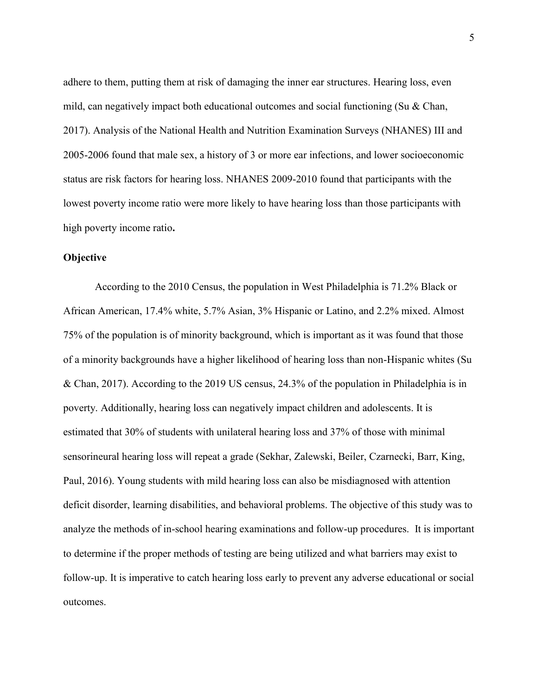adhere to them, putting them at risk of damaging the inner ear structures. Hearing loss, even mild, can negatively impact both educational outcomes and social functioning (Su & Chan, 2017). Analysis of the National Health and Nutrition Examination Surveys (NHANES) III and 2005-2006 found that male sex, a history of 3 or more ear infections, and lower socioeconomic status are risk factors for hearing loss. NHANES 2009-2010 found that participants with the lowest poverty income ratio were more likely to have hearing loss than those participants with high poverty income ratio**.**

## **Objective**

According to the 2010 Census, the population in West Philadelphia is 71.2% Black or African American, 17.4% white, 5.7% Asian, 3% Hispanic or Latino, and 2.2% mixed. Almost 75% of the population is of minority background, which is important as it was found that those of a minority backgrounds have a higher likelihood of hearing loss than non-Hispanic whites (Su & Chan, 2017). According to the 2019 US census, 24.3% of the population in Philadelphia is in poverty. Additionally, hearing loss can negatively impact children and adolescents. It is estimated that 30% of students with unilateral hearing loss and 37% of those with minimal sensorineural hearing loss will repeat a grade (Sekhar, Zalewski, Beiler, Czarnecki, Barr, King, Paul, 2016). Young students with mild hearing loss can also be misdiagnosed with attention deficit disorder, learning disabilities, and behavioral problems. The objective of this study was to analyze the methods of in-school hearing examinations and follow-up procedures. It is important to determine if the proper methods of testing are being utilized and what barriers may exist to follow-up. It is imperative to catch hearing loss early to prevent any adverse educational or social outcomes.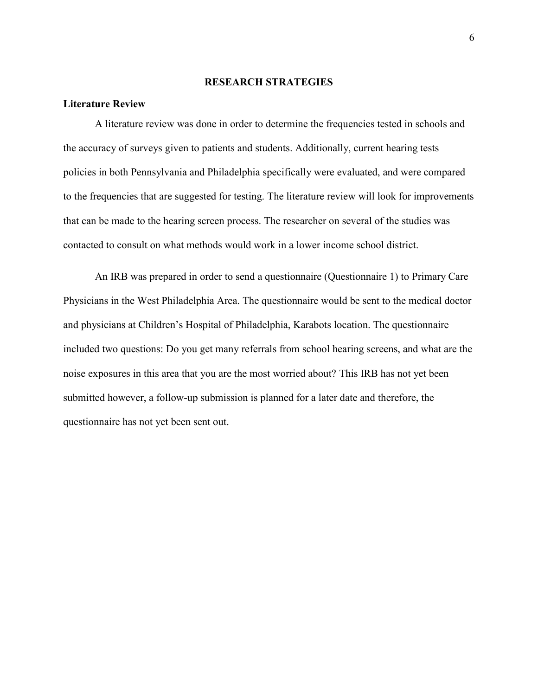#### **RESEARCH STRATEGIES**

## **Literature Review**

A literature review was done in order to determine the frequencies tested in schools and the accuracy of surveys given to patients and students. Additionally, current hearing tests policies in both Pennsylvania and Philadelphia specifically were evaluated, and were compared to the frequencies that are suggested for testing. The literature review will look for improvements that can be made to the hearing screen process. The researcher on several of the studies was contacted to consult on what methods would work in a lower income school district.

An IRB was prepared in order to send a questionnaire (Questionnaire 1) to Primary Care Physicians in the West Philadelphia Area. The questionnaire would be sent to the medical doctor and physicians at Children's Hospital of Philadelphia, Karabots location. The questionnaire included two questions: Do you get many referrals from school hearing screens, and what are the noise exposures in this area that you are the most worried about? This IRB has not yet been submitted however, a follow-up submission is planned for a later date and therefore, the questionnaire has not yet been sent out.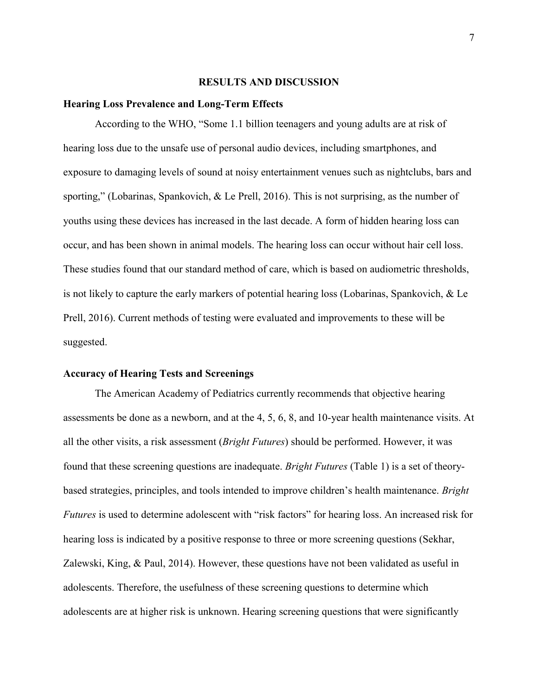#### **RESULTS AND DISCUSSION**

#### **Hearing Loss Prevalence and Long-Term Effects**

According to the WHO, "Some 1.1 billion teenagers and young adults are at risk of hearing loss due to the unsafe use of personal audio devices, including smartphones, and exposure to damaging levels of sound at noisy entertainment venues such as nightclubs, bars and sporting," (Lobarinas, Spankovich, & Le Prell, 2016). This is not surprising, as the number of youths using these devices has increased in the last decade. A form of hidden hearing loss can occur, and has been shown in animal models. The hearing loss can occur without hair cell loss. These studies found that our standard method of care, which is based on audiometric thresholds, is not likely to capture the early markers of potential hearing loss (Lobarinas, Spankovich, & Le Prell, 2016). Current methods of testing were evaluated and improvements to these will be suggested.

#### **Accuracy of Hearing Tests and Screenings**

The American Academy of Pediatrics currently recommends that objective hearing assessments be done as a newborn, and at the 4, 5, 6, 8, and 10-year health maintenance visits. At all the other visits, a risk assessment (*Bright Futures*) should be performed. However, it was found that these screening questions are inadequate. *Bright Futures* (Table 1) is a set of theorybased strategies, principles, and tools intended to improve children's health maintenance. *Bright Futures* is used to determine adolescent with "risk factors" for hearing loss. An increased risk for hearing loss is indicated by a positive response to three or more screening questions (Sekhar, Zalewski, King, & Paul, 2014). However, these questions have not been validated as useful in adolescents. Therefore, the usefulness of these screening questions to determine which adolescents are at higher risk is unknown. Hearing screening questions that were significantly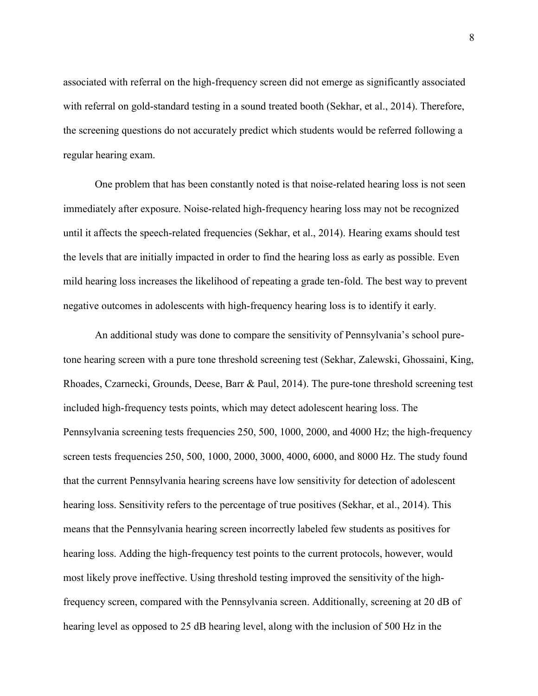associated with referral on the high-frequency screen did not emerge as significantly associated with referral on gold-standard testing in a sound treated booth (Sekhar, et al., 2014). Therefore, the screening questions do not accurately predict which students would be referred following a regular hearing exam.

One problem that has been constantly noted is that noise-related hearing loss is not seen immediately after exposure. Noise-related high-frequency hearing loss may not be recognized until it affects the speech-related frequencies (Sekhar, et al., 2014). Hearing exams should test the levels that are initially impacted in order to find the hearing loss as early as possible. Even mild hearing loss increases the likelihood of repeating a grade ten-fold. The best way to prevent negative outcomes in adolescents with high-frequency hearing loss is to identify it early.

An additional study was done to compare the sensitivity of Pennsylvania's school puretone hearing screen with a pure tone threshold screening test (Sekhar, Zalewski, Ghossaini, King, Rhoades, Czarnecki, Grounds, Deese, Barr & Paul, 2014). The pure-tone threshold screening test included high-frequency tests points, which may detect adolescent hearing loss. The Pennsylvania screening tests frequencies 250, 500, 1000, 2000, and 4000 Hz; the high-frequency screen tests frequencies 250, 500, 1000, 2000, 3000, 4000, 6000, and 8000 Hz. The study found that the current Pennsylvania hearing screens have low sensitivity for detection of adolescent hearing loss. Sensitivity refers to the percentage of true positives (Sekhar, et al., 2014). This means that the Pennsylvania hearing screen incorrectly labeled few students as positives for hearing loss. Adding the high-frequency test points to the current protocols, however, would most likely prove ineffective. Using threshold testing improved the sensitivity of the highfrequency screen, compared with the Pennsylvania screen. Additionally, screening at 20 dB of hearing level as opposed to 25 dB hearing level, along with the inclusion of 500 Hz in the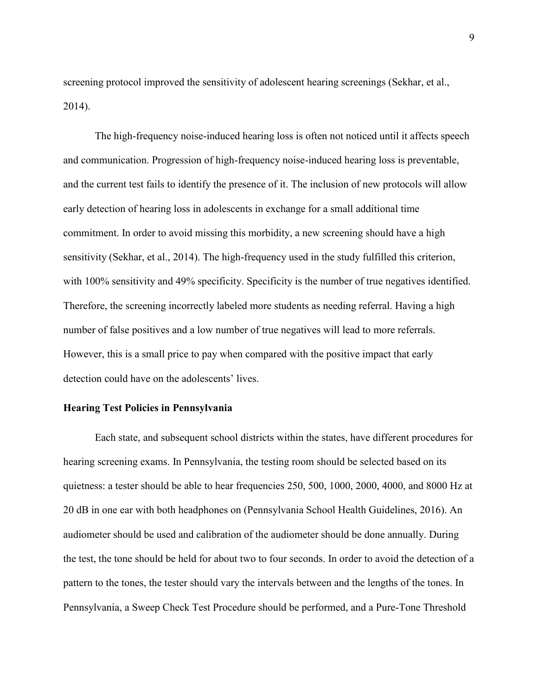screening protocol improved the sensitivity of adolescent hearing screenings (Sekhar, et al., 2014).

The high-frequency noise-induced hearing loss is often not noticed until it affects speech and communication. Progression of high-frequency noise-induced hearing loss is preventable, and the current test fails to identify the presence of it. The inclusion of new protocols will allow early detection of hearing loss in adolescents in exchange for a small additional time commitment. In order to avoid missing this morbidity, a new screening should have a high sensitivity (Sekhar, et al., 2014). The high-frequency used in the study fulfilled this criterion, with 100% sensitivity and 49% specificity. Specificity is the number of true negatives identified. Therefore, the screening incorrectly labeled more students as needing referral. Having a high number of false positives and a low number of true negatives will lead to more referrals. However, this is a small price to pay when compared with the positive impact that early detection could have on the adolescents' lives.

## **Hearing Test Policies in Pennsylvania**

Each state, and subsequent school districts within the states, have different procedures for hearing screening exams. In Pennsylvania, the testing room should be selected based on its quietness: a tester should be able to hear frequencies 250, 500, 1000, 2000, 4000, and 8000 Hz at 20 dB in one ear with both headphones on (Pennsylvania School Health Guidelines, 2016). An audiometer should be used and calibration of the audiometer should be done annually. During the test, the tone should be held for about two to four seconds. In order to avoid the detection of a pattern to the tones, the tester should vary the intervals between and the lengths of the tones. In Pennsylvania, a Sweep Check Test Procedure should be performed, and a Pure-Tone Threshold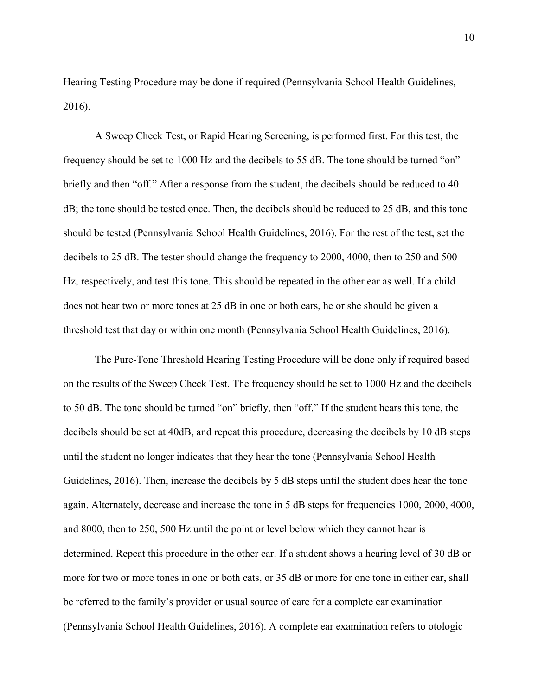Hearing Testing Procedure may be done if required (Pennsylvania School Health Guidelines, 2016).

A Sweep Check Test, or Rapid Hearing Screening, is performed first. For this test, the frequency should be set to 1000 Hz and the decibels to 55 dB. The tone should be turned "on" briefly and then "off." After a response from the student, the decibels should be reduced to 40 dB; the tone should be tested once. Then, the decibels should be reduced to 25 dB, and this tone should be tested (Pennsylvania School Health Guidelines, 2016). For the rest of the test, set the decibels to 25 dB. The tester should change the frequency to 2000, 4000, then to 250 and 500 Hz, respectively, and test this tone. This should be repeated in the other ear as well. If a child does not hear two or more tones at 25 dB in one or both ears, he or she should be given a threshold test that day or within one month (Pennsylvania School Health Guidelines, 2016).

The Pure-Tone Threshold Hearing Testing Procedure will be done only if required based on the results of the Sweep Check Test. The frequency should be set to 1000 Hz and the decibels to 50 dB. The tone should be turned "on" briefly, then "off." If the student hears this tone, the decibels should be set at 40dB, and repeat this procedure, decreasing the decibels by 10 dB steps until the student no longer indicates that they hear the tone (Pennsylvania School Health Guidelines, 2016). Then, increase the decibels by 5 dB steps until the student does hear the tone again. Alternately, decrease and increase the tone in 5 dB steps for frequencies 1000, 2000, 4000, and 8000, then to 250, 500 Hz until the point or level below which they cannot hear is determined. Repeat this procedure in the other ear. If a student shows a hearing level of 30 dB or more for two or more tones in one or both eats, or 35 dB or more for one tone in either ear, shall be referred to the family's provider or usual source of care for a complete ear examination (Pennsylvania School Health Guidelines, 2016). A complete ear examination refers to otologic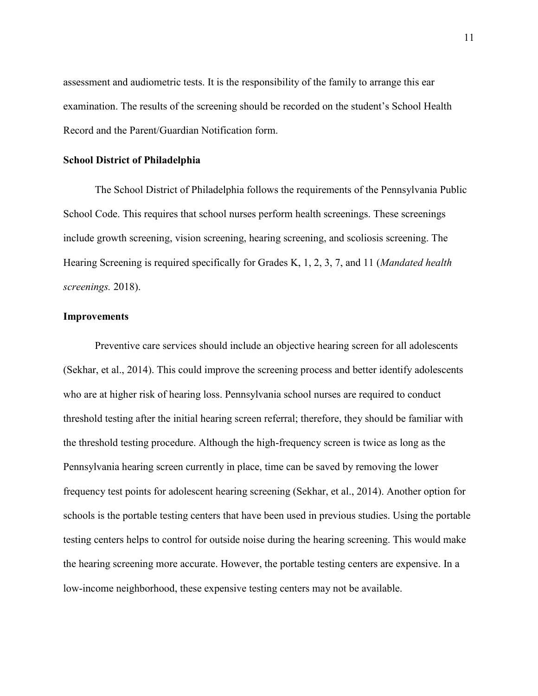assessment and audiometric tests. It is the responsibility of the family to arrange this ear examination. The results of the screening should be recorded on the student's School Health Record and the Parent/Guardian Notification form.

#### **School District of Philadelphia**

The School District of Philadelphia follows the requirements of the Pennsylvania Public School Code. This requires that school nurses perform health screenings. These screenings include growth screening, vision screening, hearing screening, and scoliosis screening. The Hearing Screening is required specifically for Grades K, 1, 2, 3, 7, and 11 (*Mandated health screenings.* 2018).

# **Improvements**

Preventive care services should include an objective hearing screen for all adolescents (Sekhar, et al., 2014). This could improve the screening process and better identify adolescents who are at higher risk of hearing loss. Pennsylvania school nurses are required to conduct threshold testing after the initial hearing screen referral; therefore, they should be familiar with the threshold testing procedure. Although the high-frequency screen is twice as long as the Pennsylvania hearing screen currently in place, time can be saved by removing the lower frequency test points for adolescent hearing screening (Sekhar, et al., 2014). Another option for schools is the portable testing centers that have been used in previous studies. Using the portable testing centers helps to control for outside noise during the hearing screening. This would make the hearing screening more accurate. However, the portable testing centers are expensive. In a low-income neighborhood, these expensive testing centers may not be available.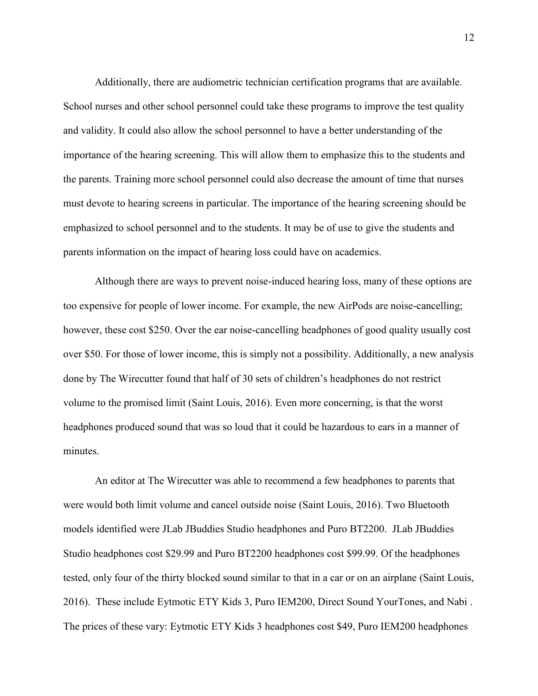Additionally, there are audiometric technician certification programs that are available. School nurses and other school personnel could take these programs to improve the test quality and validity. It could also allow the school personnel to have a better understanding of the importance of the hearing screening. This will allow them to emphasize this to the students and the parents. Training more school personnel could also decrease the amount of time that nurses must devote to hearing screens in particular. The importance of the hearing screening should be emphasized to school personnel and to the students. It may be of use to give the students and parents information on the impact of hearing loss could have on academics.

Although there are ways to prevent noise-induced hearing loss, many of these options are too expensive for people of lower income. For example, the new AirPods are noise-cancelling; however, these cost \$250. Over the ear noise-cancelling headphones of good quality usually cost over \$50. For those of lower income, this is simply not a possibility. Additionally, a new analysis done by The Wirecutter found that half of 30 sets of children's headphones do not restrict volume to the promised limit (Saint Louis, 2016). Even more concerning, is that the worst headphones produced sound that was so loud that it could be hazardous to ears in a manner of minutes.

An editor at The Wirecutter was able to recommend a few headphones to parents that were would both limit volume and cancel outside noise (Saint Louis, 2016). Two Bluetooth models identified were JLab JBuddies Studio headphones and Puro BT2200. JLab JBuddies Studio headphones cost \$29.99 and Puro BT2200 headphones cost \$99.99. Of the headphones tested, only four of the thirty blocked sound similar to that in a car or on an airplane (Saint Louis, 2016). These include Eytmotic ETY Kids 3, Puro IEM200, Direct Sound YourTones, and Nabi . The prices of these vary: Eytmotic ETY Kids 3 headphones cost \$49, Puro IEM200 headphones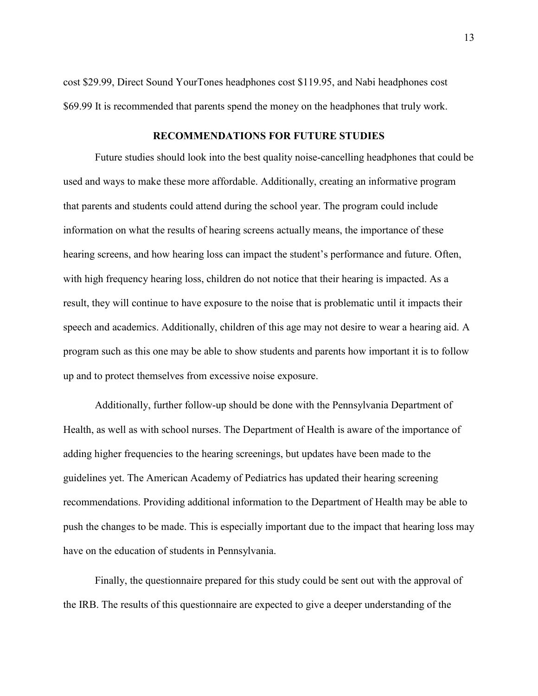cost \$29.99, Direct Sound YourTones headphones cost \$119.95, and Nabi headphones cost \$69.99 It is recommended that parents spend the money on the headphones that truly work.

# **RECOMMENDATIONS FOR FUTURE STUDIES**

Future studies should look into the best quality noise-cancelling headphones that could be used and ways to make these more affordable. Additionally, creating an informative program that parents and students could attend during the school year. The program could include information on what the results of hearing screens actually means, the importance of these hearing screens, and how hearing loss can impact the student's performance and future. Often, with high frequency hearing loss, children do not notice that their hearing is impacted. As a result, they will continue to have exposure to the noise that is problematic until it impacts their speech and academics. Additionally, children of this age may not desire to wear a hearing aid. A program such as this one may be able to show students and parents how important it is to follow up and to protect themselves from excessive noise exposure.

Additionally, further follow-up should be done with the Pennsylvania Department of Health, as well as with school nurses. The Department of Health is aware of the importance of adding higher frequencies to the hearing screenings, but updates have been made to the guidelines yet. The American Academy of Pediatrics has updated their hearing screening recommendations. Providing additional information to the Department of Health may be able to push the changes to be made. This is especially important due to the impact that hearing loss may have on the education of students in Pennsylvania.

Finally, the questionnaire prepared for this study could be sent out with the approval of the IRB. The results of this questionnaire are expected to give a deeper understanding of the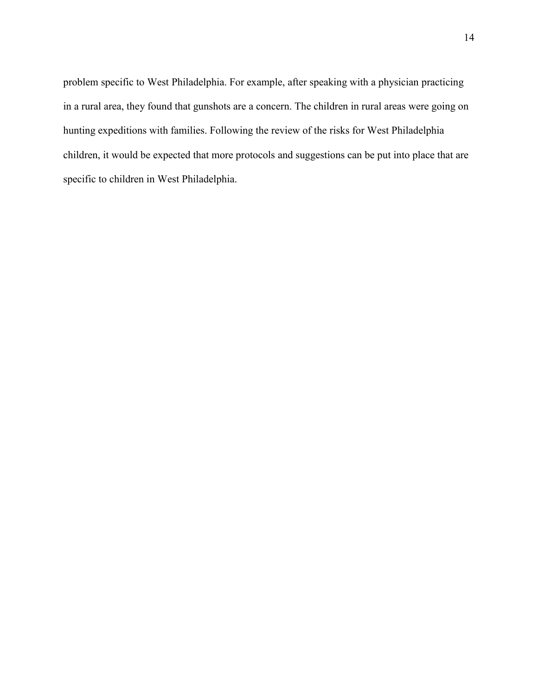problem specific to West Philadelphia. For example, after speaking with a physician practicing in a rural area, they found that gunshots are a concern. The children in rural areas were going on hunting expeditions with families. Following the review of the risks for West Philadelphia children, it would be expected that more protocols and suggestions can be put into place that are specific to children in West Philadelphia.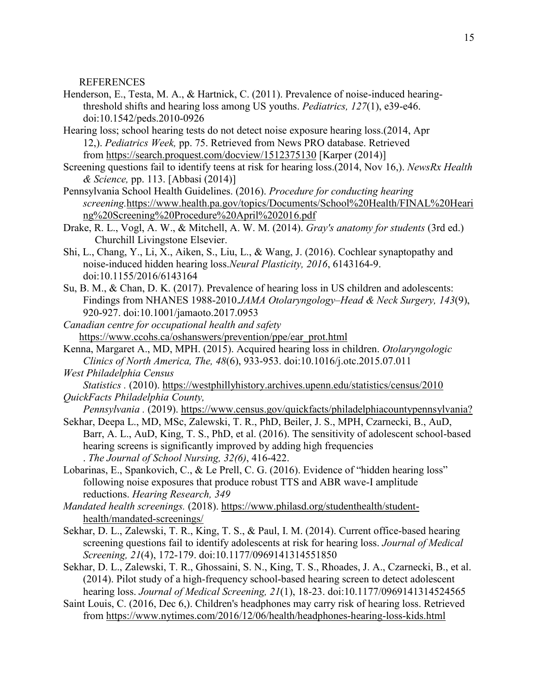**REFERENCES** 

- Henderson, E., Testa, M. A., & Hartnick, C. (2011). Prevalence of noise-induced hearingthreshold shifts and hearing loss among US youths. *Pediatrics, 127*(1), e39-e46. doi:10.1542/peds.2010-0926
- Hearing loss; school hearing tests do not detect noise exposure hearing loss.(2014, Apr 12,). *Pediatrics Week,* pp. 75. Retrieved from News PRO database. Retrieved from <https://search.proquest.com/docview/1512375130> [Karper (2014)]
- Screening questions fail to identify teens at risk for hearing loss.(2014, Nov 16,). *NewsRx Health & Science,* pp. 113. [Abbasi (2014)]
- Pennsylvania School Health Guidelines. (2016). *Procedure for conducting hearing screening.*[https://www.health.pa.gov/topics/Documents/School%20Health/FINAL%20Heari](https://www.health.pa.gov/topics/Documents/School%20Health/FINAL%20Hearing%20Screening%20Procedure%20April%202016.pdf) [ng%20Screening%20Procedure%20April%202016.pdf](https://www.health.pa.gov/topics/Documents/School%20Health/FINAL%20Hearing%20Screening%20Procedure%20April%202016.pdf)
- Drake, R. L., Vogl, A. W., & Mitchell, A. W. M. (2014). *Gray's anatomy for students* (3rd ed.) Churchill Livingstone Elsevier.
- Shi, L., Chang, Y., Li, X., Aiken, S., Liu, L., & Wang, J. (2016). Cochlear synaptopathy and noise-induced hidden hearing loss.*Neural Plasticity, 2016*, 6143164-9. doi:10.1155/2016/6143164
- Su, B. M., & Chan, D. K. (2017). Prevalence of hearing loss in US children and adolescents: Findings from NHANES 1988-2010.*JAMA Otolaryngology–Head & Neck Surgery, 143*(9), 920-927. doi:10.1001/jamaoto.2017.0953
- *Canadian centre for occupational health and safety*  [https://www.ccohs.ca/oshanswers/prevention/ppe/ear\\_prot.html](https://www.ccohs.ca/oshanswers/prevention/ppe/ear_prot.html)
- Kenna, Margaret A., MD, MPH. (2015). Acquired hearing loss in children. *Otolaryngologic Clinics of North America, The, 48*(6), 933-953. doi:10.1016/j.otc.2015.07.011

*West Philadelphia Census* 

*Statistics .* (2010). <https://westphillyhistory.archives.upenn.edu/statistics/census/2010> *QuickFacts Philadelphia County,* 

*Pennsylvania .* (2019). <https://www.census.gov/quickfacts/philadelphiacountypennsylvania?>

- Sekhar, Deepa L., MD, MSc, Zalewski, T. R., PhD, Beiler, J. S., MPH, Czarnecki, B., AuD, Barr, A. L., AuD, King, T. S., PhD, et al. (2016). The sensitivity of adolescent school-based hearing screens is significantly improved by adding high frequencies . *The Journal of School Nursing, 32(6)*, 416-422.
- Lobarinas, E., Spankovich, C., & Le Prell, C. G. (2016). Evidence of "hidden hearing loss" following noise exposures that produce robust TTS and ABR wave-I amplitude reductions. *Hearing Research, 349*
- *Mandated health screenings.* (2018). [https://www.philasd.org/studenthealth/student](https://www.philasd.org/studenthealth/student-health/mandated-screenings/)[health/mandated-screenings/](https://www.philasd.org/studenthealth/student-health/mandated-screenings/)
- Sekhar, D. L., Zalewski, T. R., King, T. S., & Paul, I. M. (2014). Current office-based hearing screening questions fail to identify adolescents at risk for hearing loss. *Journal of Medical Screening, 21*(4), 172-179. doi:10.1177/0969141314551850
- Sekhar, D. L., Zalewski, T. R., Ghossaini, S. N., King, T. S., Rhoades, J. A., Czarnecki, B., et al. (2014). Pilot study of a high-frequency school-based hearing screen to detect adolescent hearing loss. *Journal of Medical Screening, 21*(1), 18-23. doi:10.1177/0969141314524565
- Saint Louis, C. (2016, Dec 6,). Children's headphones may carry risk of hearing loss. Retrieved from <https://www.nytimes.com/2016/12/06/health/headphones-hearing-loss-kids.html>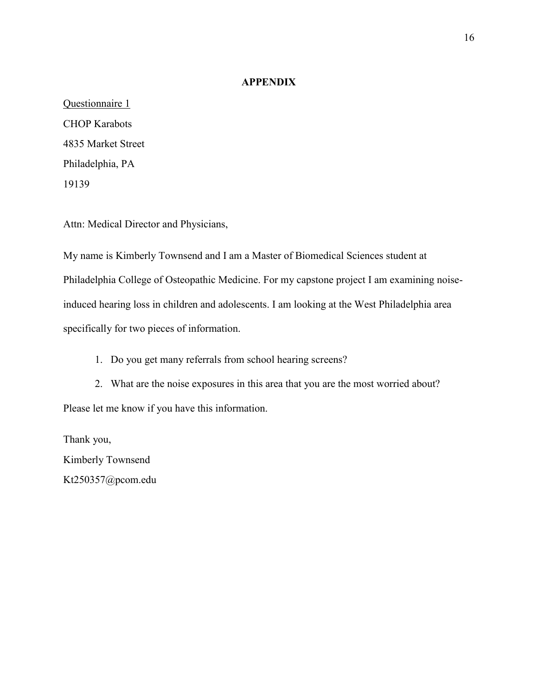# **APPENDIX**

Questionnaire 1 CHOP Karabots 4835 Market Street Philadelphia, PA 19139

Attn: Medical Director and Physicians,

My name is Kimberly Townsend and I am a Master of Biomedical Sciences student at Philadelphia College of Osteopathic Medicine. For my capstone project I am examining noiseinduced hearing loss in children and adolescents. I am looking at the West Philadelphia area specifically for two pieces of information.

1. Do you get many referrals from school hearing screens?

2. What are the noise exposures in this area that you are the most worried about? Please let me know if you have this information.

Thank you, Kimberly Townsend Kt250357@pcom.edu